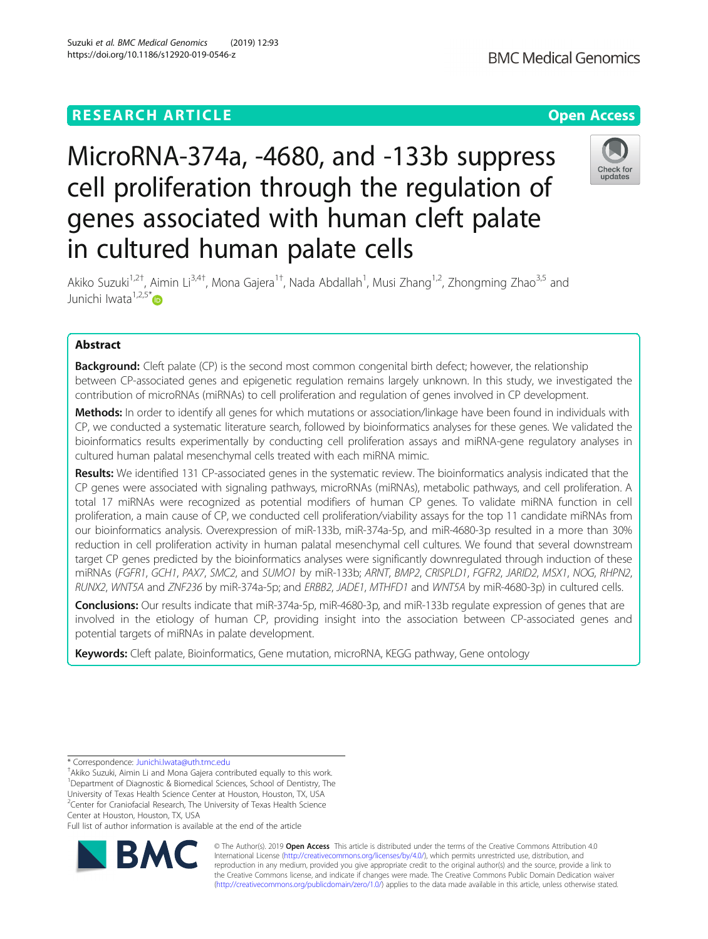# MicroRNA-374a, -4680, and -133b suppress cell proliferation through the regulation of genes associated with human cleft palate in cultured human palate cells



Akiko Suzuki<sup>1,2†</sup>, Aimin Li<sup>3,4†</sup>, Mona Gajera<sup>1†</sup>, Nada Abdallah<sup>1</sup>, Musi Zhang<sup>1,2</sup>, Zhongming Zhao<sup>3,5</sup> and Junichi Iwata<sup>1,2,5\*</sup>

# Abstract

**Background:** Cleft palate (CP) is the second most common congenital birth defect; however, the relationship between CP-associated genes and epigenetic regulation remains largely unknown. In this study, we investigated the contribution of microRNAs (miRNAs) to cell proliferation and regulation of genes involved in CP development.

Methods: In order to identify all genes for which mutations or association/linkage have been found in individuals with CP, we conducted a systematic literature search, followed by bioinformatics analyses for these genes. We validated the bioinformatics results experimentally by conducting cell proliferation assays and miRNA-gene regulatory analyses in cultured human palatal mesenchymal cells treated with each miRNA mimic.

Results: We identified 131 CP-associated genes in the systematic review. The bioinformatics analysis indicated that the CP genes were associated with signaling pathways, microRNAs (miRNAs), metabolic pathways, and cell proliferation. A total 17 miRNAs were recognized as potential modifiers of human CP genes. To validate miRNA function in cell proliferation, a main cause of CP, we conducted cell proliferation/viability assays for the top 11 candidate miRNAs from our bioinformatics analysis. Overexpression of miR-133b, miR-374a-5p, and miR-4680-3p resulted in a more than 30% reduction in cell proliferation activity in human palatal mesenchymal cell cultures. We found that several downstream target CP genes predicted by the bioinformatics analyses were significantly downregulated through induction of these miRNAs (FGFR1, GCH1, PAX7, SMC2, and SUMO1 by miR-133b; ARNT, BMP2, CRISPLD1, FGFR2, JARID2, MSX1, NOG, RHPN2, RUNX2, WNT5A and ZNF236 by miR-374a-5p; and ERBB2, JADE1, MTHFD1 and WNT5A by miR-4680-3p) in cultured cells.

Conclusions: Our results indicate that miR-374a-5p, miR-4680-3p, and miR-133b regulate expression of genes that are involved in the etiology of human CP, providing insight into the association between CP-associated genes and potential targets of miRNAs in palate development.

Keywords: Cleft palate, Bioinformatics, Gene mutation, microRNA, KEGG pathway, Gene ontology

\* Correspondence: [Junichi.Iwata@uth.tmc.edu](mailto:Junichi.Iwata@uth.tmc.edu) †

<sup>+</sup>Akiko Suzuki, Aimin Li and Mona Gajera contributed equally to this work. <sup>1</sup>Department of Diagnostic & Biomedical Sciences, School of Dentistry, The University of Texas Health Science Center at Houston, Houston, TX, USA <sup>2</sup>Center for Craniofacial Research, The University of Texas Health Science Center at Houston, Houston, TX, USA

Full list of author information is available at the end of the article



© The Author(s). 2019 **Open Access** This article is distributed under the terms of the Creative Commons Attribution 4.0 International License [\(http://creativecommons.org/licenses/by/4.0/](http://creativecommons.org/licenses/by/4.0/)), which permits unrestricted use, distribution, and reproduction in any medium, provided you give appropriate credit to the original author(s) and the source, provide a link to the Creative Commons license, and indicate if changes were made. The Creative Commons Public Domain Dedication waiver [\(http://creativecommons.org/publicdomain/zero/1.0/](http://creativecommons.org/publicdomain/zero/1.0/)) applies to the data made available in this article, unless otherwise stated.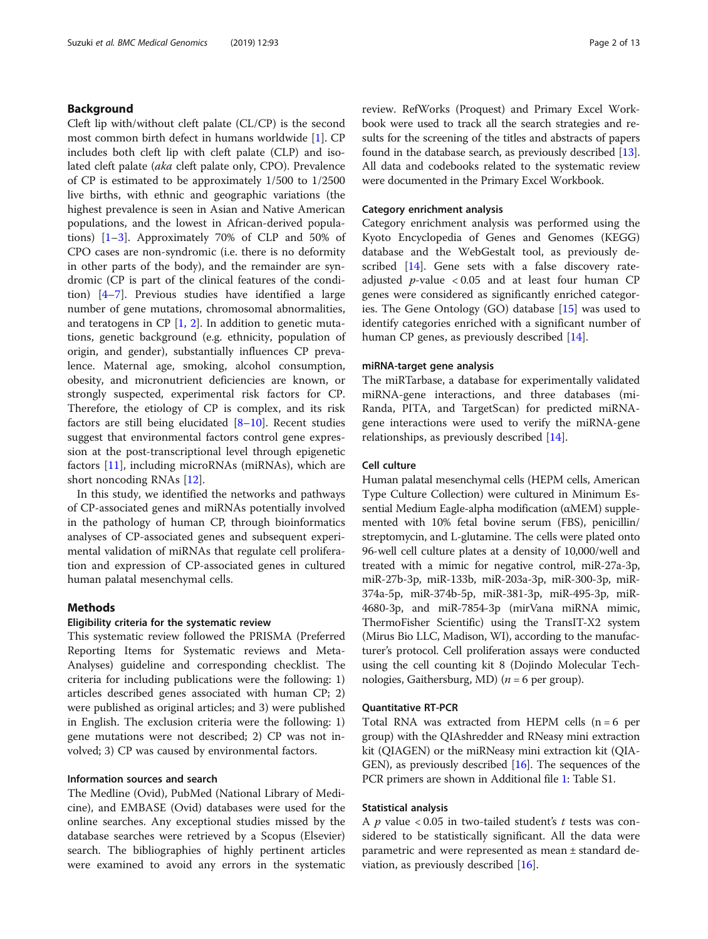# Background

Cleft lip with/without cleft palate (CL/CP) is the second most common birth defect in humans worldwide [\[1](#page-11-0)]. CP includes both cleft lip with cleft palate (CLP) and isolated cleft palate (aka cleft palate only, CPO). Prevalence of CP is estimated to be approximately 1/500 to 1/2500 live births, with ethnic and geographic variations (the highest prevalence is seen in Asian and Native American populations, and the lowest in African-derived populations) [[1](#page-11-0)–[3](#page-11-0)]. Approximately 70% of CLP and 50% of CPO cases are non-syndromic (i.e. there is no deformity in other parts of the body), and the remainder are syndromic (CP is part of the clinical features of the condition) [[4](#page-11-0)–[7\]](#page-11-0). Previous studies have identified a large number of gene mutations, chromosomal abnormalities, and teratogens in CP  $[1, 2]$  $[1, 2]$  $[1, 2]$  $[1, 2]$  $[1, 2]$ . In addition to genetic mutations, genetic background (e.g. ethnicity, population of origin, and gender), substantially influences CP prevalence. Maternal age, smoking, alcohol consumption, obesity, and micronutrient deficiencies are known, or strongly suspected, experimental risk factors for CP. Therefore, the etiology of CP is complex, and its risk factors are still being elucidated  $[8-10]$  $[8-10]$  $[8-10]$  $[8-10]$  $[8-10]$ . Recent studies suggest that environmental factors control gene expression at the post-transcriptional level through epigenetic factors [[11\]](#page-11-0), including microRNAs (miRNAs), which are short noncoding RNAs [\[12](#page-11-0)].

In this study, we identified the networks and pathways of CP-associated genes and miRNAs potentially involved in the pathology of human CP, through bioinformatics analyses of CP-associated genes and subsequent experimental validation of miRNAs that regulate cell proliferation and expression of CP-associated genes in cultured human palatal mesenchymal cells.

# Methods

#### Eligibility criteria for the systematic review

This systematic review followed the PRISMA (Preferred Reporting Items for Systematic reviews and Meta-Analyses) guideline and corresponding checklist. The criteria for including publications were the following: 1) articles described genes associated with human CP; 2) were published as original articles; and 3) were published in English. The exclusion criteria were the following: 1) gene mutations were not described; 2) CP was not involved; 3) CP was caused by environmental factors.

# Information sources and search

The Medline (Ovid), PubMed (National Library of Medicine), and EMBASE (Ovid) databases were used for the online searches. Any exceptional studies missed by the database searches were retrieved by a Scopus (Elsevier) search. The bibliographies of highly pertinent articles were examined to avoid any errors in the systematic review. RefWorks (Proquest) and Primary Excel Workbook were used to track all the search strategies and results for the screening of the titles and abstracts of papers found in the database search, as previously described [[13](#page-11-0)]. All data and codebooks related to the systematic review were documented in the Primary Excel Workbook.

# Category enrichment analysis

Category enrichment analysis was performed using the Kyoto Encyclopedia of Genes and Genomes (KEGG) database and the WebGestalt tool, as previously de-scribed [[14](#page-11-0)]. Gene sets with a false discovery rateadjusted *p*-value  $\langle 0.05 \rangle$  and at least four human CP genes were considered as significantly enriched categories. The Gene Ontology (GO) database [\[15](#page-11-0)] was used to identify categories enriched with a significant number of human CP genes, as previously described [[14\]](#page-11-0).

#### miRNA-target gene analysis

The miRTarbase, a database for experimentally validated miRNA-gene interactions, and three databases (mi-Randa, PITA, and TargetScan) for predicted miRNAgene interactions were used to verify the miRNA-gene relationships, as previously described [[14](#page-11-0)].

# Cell culture

Human palatal mesenchymal cells (HEPM cells, American Type Culture Collection) were cultured in Minimum Essential Medium Eagle-alpha modification (αMEM) supplemented with 10% fetal bovine serum (FBS), penicillin/ streptomycin, and L-glutamine. The cells were plated onto 96-well cell culture plates at a density of 10,000/well and treated with a mimic for negative control, miR-27a-3p, miR-27b-3p, miR-133b, miR-203a-3p, miR-300-3p, miR-374a-5p, miR-374b-5p, miR-381-3p, miR-495-3p, miR-4680-3p, and miR-7854-3p (mirVana miRNA mimic, ThermoFisher Scientific) using the TransIT-X2 system (Mirus Bio LLC, Madison, WI), according to the manufacturer's protocol. Cell proliferation assays were conducted using the cell counting kit 8 (Dojindo Molecular Technologies, Gaithersburg, MD) ( $n = 6$  per group).

# Quantitative RT-PCR

Total RNA was extracted from HEPM cells (n = 6 per group) with the QIAshredder and RNeasy mini extraction kit (QIAGEN) or the miRNeasy mini extraction kit (QIA-GEN), as previously described [\[16](#page-11-0)]. The sequences of the PCR primers are shown in Additional file [1](#page-10-0): Table S1.

# Statistical analysis

A  $p$  value < 0.05 in two-tailed student's  $t$  tests was considered to be statistically significant. All the data were parametric and were represented as mean ± standard deviation, as previously described [\[16\]](#page-11-0).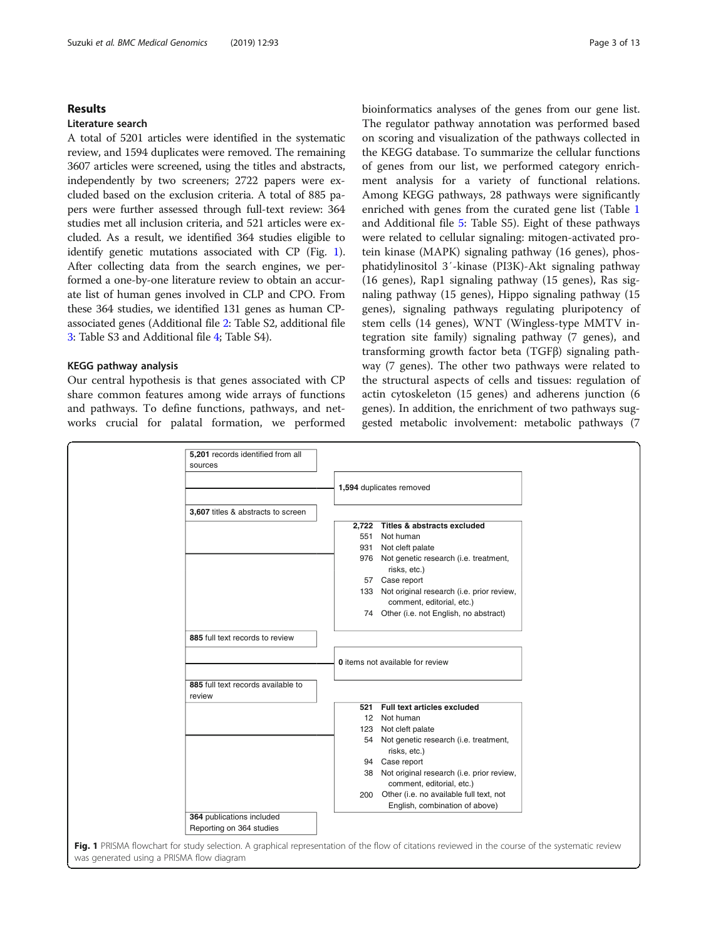# Results

# Literature search

A total of 5201 articles were identified in the systematic review, and 1594 duplicates were removed. The remaining 3607 articles were screened, using the titles and abstracts, independently by two screeners; 2722 papers were excluded based on the exclusion criteria. A total of 885 papers were further assessed through full-text review: 364 studies met all inclusion criteria, and 521 articles were excluded. As a result, we identified 364 studies eligible to identify genetic mutations associated with CP (Fig. 1). After collecting data from the search engines, we performed a one-by-one literature review to obtain an accurate list of human genes involved in CLP and CPO. From these 364 studies, we identified 131 genes as human CPassociated genes (Additional file [2](#page-10-0): Table S2, additional file [3:](#page-11-0) Table S3 and Additional file [4;](#page-11-0) Table S4).

# KEGG pathway analysis

Our central hypothesis is that genes associated with CP share common features among wide arrays of functions and pathways. To define functions, pathways, and networks crucial for palatal formation, we performed bioinformatics analyses of the genes from our gene list. The regulator pathway annotation was performed based on scoring and visualization of the pathways collected in the KEGG database. To summarize the cellular functions of genes from our list, we performed category enrichment analysis for a variety of functional relations. Among KEGG pathways, 28 pathways were significantly enriched with genes from the curated gene list (Table [1](#page-3-0) and Additional file [5:](#page-11-0) Table S5). Eight of these pathways were related to cellular signaling: mitogen-activated protein kinase (MAPK) signaling pathway (16 genes), phosphatidylinositol 3′-kinase (PI3K)-Akt signaling pathway (16 genes), Rap1 signaling pathway (15 genes), Ras signaling pathway (15 genes), Hippo signaling pathway (15 genes), signaling pathways regulating pluripotency of stem cells (14 genes), WNT (Wingless-type MMTV integration site family) signaling pathway (7 genes), and transforming growth factor beta (TGFβ) signaling pathway (7 genes). The other two pathways were related to the structural aspects of cells and tissues: regulation of actin cytoskeleton (15 genes) and adherens junction (6 genes). In addition, the enrichment of two pathways suggested metabolic involvement: metabolic pathways (7

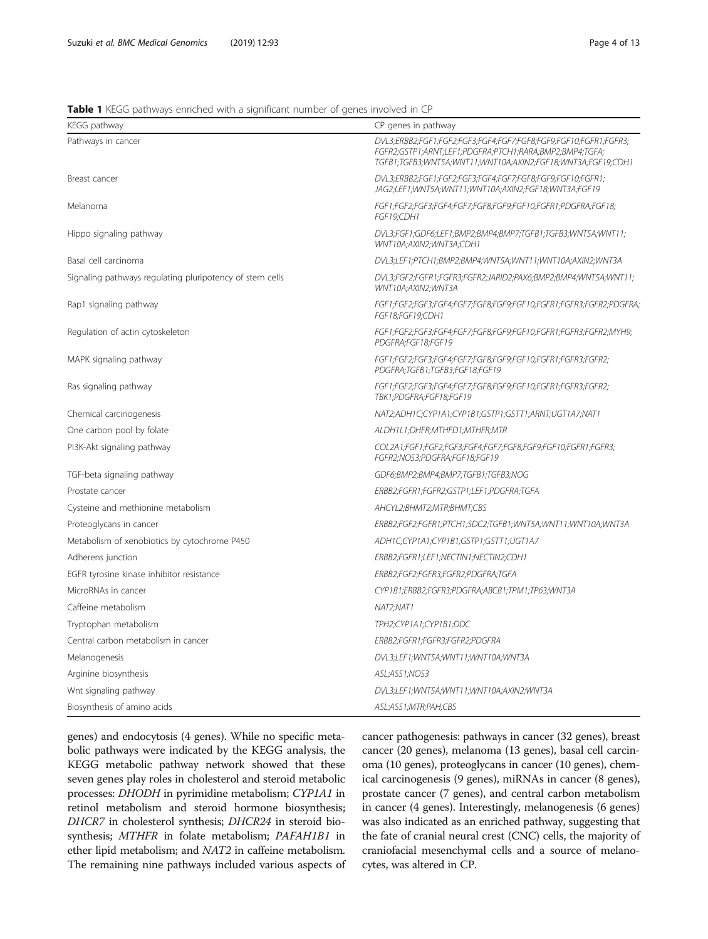# <span id="page-3-0"></span>Table 1 KEGG pathways enriched with a significant number of genes involved in CP

| KEGG pathway                                             | CP genes in pathway                                                                                                                                                                        |
|----------------------------------------------------------|--------------------------------------------------------------------------------------------------------------------------------------------------------------------------------------------|
| Pathways in cancer                                       | DVL3;ERBB2;FGF1;FGF2;FGF3;FGF4;FGF7;FGF8;FGF9;FGF10;FGFR1;FGFR3;<br>FGFR2;GSTP1;ARNT;LEF1;PDGFRA;PTCH1;RARA;BMP2;BMP4;TGFA;<br>TGFB1;TGFB3;WNT5A;WNT11;WNT10A;AXIN2;FGF18;WNT3A;FGF19;CDH1 |
| Breast cancer                                            | DVL3;ERBB2;FGF1;FGF2;FGF3;FGF4;FGF7;FGF8;FGF9;FGF10;FGFR1;<br>JAG2;LEF1;WNT5A;WNT11;WNT10A;AXIN2;FGF18;WNT3A;FGF19                                                                         |
| Melanoma                                                 | FGF1;FGF2;FGF3;FGF4;FGF7;FGF8;FGF9;FGF10;FGFR1;PDGFRA;FGF18;<br>FGF19;CDH1                                                                                                                 |
| Hippo signaling pathway                                  | DVL3;FGF1;GDF6;LEF1;BMP2;BMP4;BMP7;TGFB1;TGFB3;WNT5A;WNT11;<br>WNT10A;AXIN2;WNT3A;CDH1                                                                                                     |
| Basal cell carcinoma                                     | DVL3;LEF1;PTCH1;BMP2;BMP4;WNT5A;WNT11;WNT10A;AXIN2;WNT3A                                                                                                                                   |
| Signaling pathways regulating pluripotency of stem cells | DVL3;FGF2;FGFR1;FGFR3;FGFR2;JARID2;PAX6;BMP2;BMP4;WNT5A;WNT11;<br>WNT10A;AXIN2;WNT3A                                                                                                       |
| Rap1 signaling pathway                                   | FGF1;FGF2;FGF3;FGF4;FGF7;FGF8;FGF9;FGF10;FGFR1;FGFR3;FGFR2;PDGFRA;<br>FGF18;FGF19;CDH1                                                                                                     |
| Regulation of actin cytoskeleton                         | FGF1;FGF2;FGF3;FGF4;FGF7;FGF8;FGF9;FGF10;FGFR1;FGFR3;FGFR2;MYH9;<br>PDGFRA:FGF18:FGF19                                                                                                     |
| MAPK signaling pathway                                   | FGF1;FGF2;FGF3;FGF4;FGF7;FGF8;FGF9;FGF10;FGFR1;FGFR3;FGFR2;<br>PDGFRA;TGFB1;TGFB3;FGF18;FGF19                                                                                              |
| Ras signaling pathway                                    | FGF1;FGF2;FGF3;FGF4;FGF7;FGF8;FGF9;FGF10;FGFR1;FGFR3;FGFR2;<br>TBK1;PDGFRA;FGF18;FGF19                                                                                                     |
| Chemical carcinogenesis                                  | NAT2;ADH1C;CYP1A1;CYP1B1;GSTP1;GSTT1;ARNT;UGT1A7;NAT1                                                                                                                                      |
| One carbon pool by folate                                | ALDH1L1;DHFR;MTHFD1;MTHFR;MTR                                                                                                                                                              |
| PI3K-Akt signaling pathway                               | COL2A1;FGF1;FGF2;FGF3;FGF4;FGF7;FGF8;FGF9;FGF10;FGFR1;FGFR3;<br>FGFR2;NOS3;PDGFRA;FGF18;FGF19                                                                                              |
| TGF-beta signaling pathway                               | GDF6;BMP2;BMP4;BMP7;TGFB1;TGFB3;NOG                                                                                                                                                        |
| Prostate cancer                                          | ERBB2;FGFR1;FGFR2;GSTP1;LEF1;PDGFRA;TGFA                                                                                                                                                   |
| Cysteine and methionine metabolism                       | AHCYL2;BHMT2;MTR;BHMT;CBS                                                                                                                                                                  |
| Proteoglycans in cancer                                  | ERBB2;FGF2;FGFR1;PTCH1;SDC2;TGFB1;WNT5A;WNT11;WNT10A;WNT3A                                                                                                                                 |
| Metabolism of xenobiotics by cytochrome P450             | ADH1C;CYP1A1;CYP1B1;GSTP1;GSTT1;UGT1A7                                                                                                                                                     |
| Adherens junction                                        | ERBB2;FGFR1;LEF1;NECTIN1;NECTIN2;CDH1                                                                                                                                                      |
| EGFR tyrosine kinase inhibitor resistance                | ERBB2;FGF2;FGFR3;FGFR2;PDGFRA;TGFA                                                                                                                                                         |
| MicroRNAs in cancer                                      | CYP1B1;ERBB2;FGFR3;PDGFRA;ABCB1;TPM1;TP63;WNT3A                                                                                                                                            |
| Caffeine metabolism                                      | NAT2;NAT1                                                                                                                                                                                  |
| Tryptophan metabolism                                    | TPH2;CYP1A1;CYP1B1;DDC                                                                                                                                                                     |
| Central carbon metabolism in cancer                      | ERBB2;FGFR1;FGFR3;FGFR2;PDGFRA                                                                                                                                                             |
| Melanogenesis                                            | DVL3;LEF1;WNT5A;WNT11;WNT10A;WNT3A                                                                                                                                                         |
| Arginine biosynthesis                                    | ASL;ASS1;NOS3                                                                                                                                                                              |
| Wnt signaling pathway                                    | DVL3;LEF1;WNT5A;WNT11;WNT10A;AXIN2;WNT3A                                                                                                                                                   |
| Biosynthesis of amino acids                              | ASL;ASS1;MTR;PAH;CBS                                                                                                                                                                       |

genes) and endocytosis (4 genes). While no specific metabolic pathways were indicated by the KEGG analysis, the KEGG metabolic pathway network showed that these seven genes play roles in cholesterol and steroid metabolic processes: DHODH in pyrimidine metabolism; CYP1A1 in retinol metabolism and steroid hormone biosynthesis; DHCR7 in cholesterol synthesis; DHCR24 in steroid biosynthesis; MTHFR in folate metabolism; PAFAH1B1 in ether lipid metabolism; and NAT2 in caffeine metabolism. The remaining nine pathways included various aspects of cancer pathogenesis: pathways in cancer (32 genes), breast cancer (20 genes), melanoma (13 genes), basal cell carcinoma (10 genes), proteoglycans in cancer (10 genes), chemical carcinogenesis (9 genes), miRNAs in cancer (8 genes), prostate cancer (7 genes), and central carbon metabolism in cancer (4 genes). Interestingly, melanogenesis (6 genes) was also indicated as an enriched pathway, suggesting that the fate of cranial neural crest (CNC) cells, the majority of craniofacial mesenchymal cells and a source of melanocytes, was altered in CP.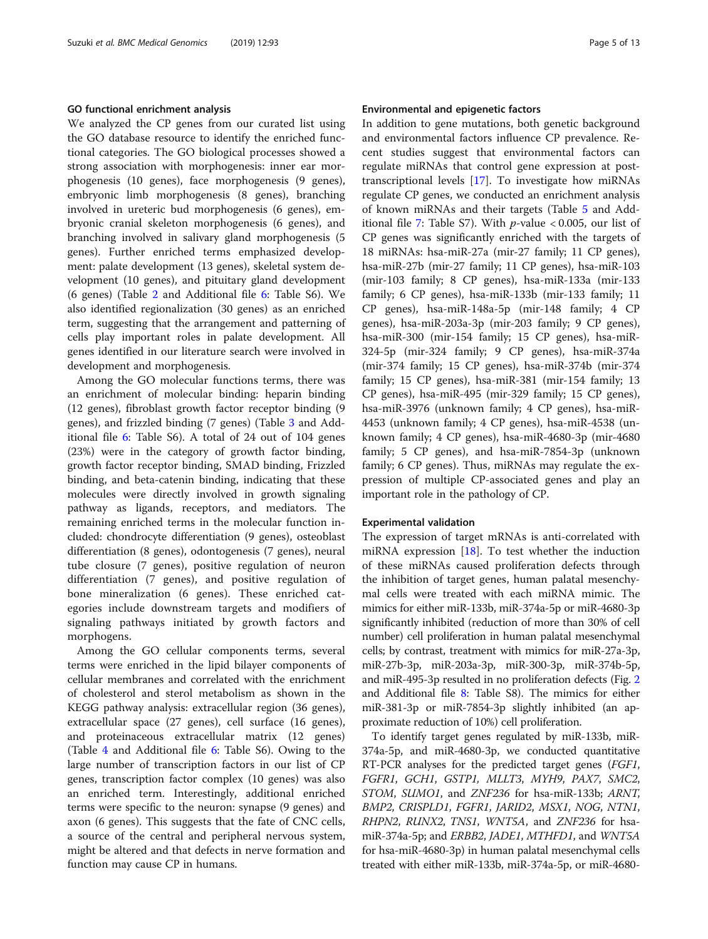#### GO functional enrichment analysis

We analyzed the CP genes from our curated list using the GO database resource to identify the enriched functional categories. The GO biological processes showed a strong association with morphogenesis: inner ear morphogenesis (10 genes), face morphogenesis (9 genes), embryonic limb morphogenesis (8 genes), branching involved in ureteric bud morphogenesis (6 genes), embryonic cranial skeleton morphogenesis (6 genes), and branching involved in salivary gland morphogenesis (5 genes). Further enriched terms emphasized development: palate development (13 genes), skeletal system development (10 genes), and pituitary gland development (6 genes) (Table [2](#page-5-0) and Additional file [6:](#page-11-0) Table S6). We also identified regionalization (30 genes) as an enriched term, suggesting that the arrangement and patterning of cells play important roles in palate development. All genes identified in our literature search were involved in development and morphogenesis.

Among the GO molecular functions terms, there was an enrichment of molecular binding: heparin binding (12 genes), fibroblast growth factor receptor binding (9 genes), and frizzled binding (7 genes) (Table [3](#page-7-0) and Additional file [6:](#page-11-0) Table S6). A total of 24 out of 104 genes (23%) were in the category of growth factor binding, growth factor receptor binding, SMAD binding, Frizzled binding, and beta-catenin binding, indicating that these molecules were directly involved in growth signaling pathway as ligands, receptors, and mediators. The remaining enriched terms in the molecular function included: chondrocyte differentiation (9 genes), osteoblast differentiation (8 genes), odontogenesis (7 genes), neural tube closure (7 genes), positive regulation of neuron differentiation (7 genes), and positive regulation of bone mineralization (6 genes). These enriched categories include downstream targets and modifiers of signaling pathways initiated by growth factors and morphogens.

Among the GO cellular components terms, several terms were enriched in the lipid bilayer components of cellular membranes and correlated with the enrichment of cholesterol and sterol metabolism as shown in the KEGG pathway analysis: extracellular region (36 genes), extracellular space (27 genes), cell surface (16 genes), and proteinaceous extracellular matrix (12 genes) (Table [4](#page-8-0) and Additional file [6:](#page-11-0) Table S6). Owing to the large number of transcription factors in our list of CP genes, transcription factor complex (10 genes) was also an enriched term. Interestingly, additional enriched terms were specific to the neuron: synapse (9 genes) and axon (6 genes). This suggests that the fate of CNC cells, a source of the central and peripheral nervous system, might be altered and that defects in nerve formation and function may cause CP in humans.

# Environmental and epigenetic factors

In addition to gene mutations, both genetic background and environmental factors influence CP prevalence. Recent studies suggest that environmental factors can regulate miRNAs that control gene expression at posttranscriptional levels [[17](#page-11-0)]. To investigate how miRNAs regulate CP genes, we conducted an enrichment analysis of known miRNAs and their targets (Table [5](#page-8-0) and Add-itional file [7:](#page-11-0) Table S7). With  $p$ -value < 0.005, our list of CP genes was significantly enriched with the targets of 18 miRNAs: hsa-miR-27a (mir-27 family; 11 CP genes), hsa-miR-27b (mir-27 family; 11 CP genes), hsa-miR-103 (mir-103 family; 8 CP genes), hsa-miR-133a (mir-133 family; 6 CP genes), hsa-miR-133b (mir-133 family; 11 CP genes), hsa-miR-148a-5p (mir-148 family; 4 CP genes), hsa-miR-203a-3p (mir-203 family; 9 CP genes), hsa-miR-300 (mir-154 family; 15 CP genes), hsa-miR-324-5p (mir-324 family; 9 CP genes), hsa-miR-374a (mir-374 family; 15 CP genes), hsa-miR-374b (mir-374 family; 15 CP genes), hsa-miR-381 (mir-154 family; 13 CP genes), hsa-miR-495 (mir-329 family; 15 CP genes), hsa-miR-3976 (unknown family; 4 CP genes), hsa-miR-4453 (unknown family; 4 CP genes), hsa-miR-4538 (unknown family; 4 CP genes), hsa-miR-4680-3p (mir-4680 family; 5 CP genes), and hsa-miR-7854-3p (unknown family; 6 CP genes). Thus, miRNAs may regulate the expression of multiple CP-associated genes and play an important role in the pathology of CP.

#### Experimental validation

The expression of target mRNAs is anti-correlated with miRNA expression [[18\]](#page-11-0). To test whether the induction of these miRNAs caused proliferation defects through the inhibition of target genes, human palatal mesenchymal cells were treated with each miRNA mimic. The mimics for either miR-133b, miR-374a-5p or miR-4680-3p significantly inhibited (reduction of more than 30% of cell number) cell proliferation in human palatal mesenchymal cells; by contrast, treatment with mimics for miR-27a-3p, miR-27b-3p, miR-203a-3p, miR-300-3p, miR-374b-5p, and miR-495-3p resulted in no proliferation defects (Fig. [2](#page-8-0) and Additional file [8:](#page-11-0) Table S8). The mimics for either miR-381-3p or miR-7854-3p slightly inhibited (an approximate reduction of 10%) cell proliferation.

To identify target genes regulated by miR-133b, miR-374a-5p, and miR-4680-3p, we conducted quantitative RT-PCR analyses for the predicted target genes (FGF1, FGFR1, GCH1, GSTP1, MLLT3, MYH9, PAX7, SMC2, STOM, SUMO1, and ZNF236 for hsa-miR-133b; ARNT, BMP2, CRISPLD1, FGFR1, JARID2, MSX1, NOG, NTN1, RHPN2, RUNX2, TNS1, WNT5A, and ZNF236 for hsamiR-374a-5p; and ERBB2, JADE1, MTHFD1, and WNT5A for hsa-miR-4680-3p) in human palatal mesenchymal cells treated with either miR-133b, miR-374a-5p, or miR-4680-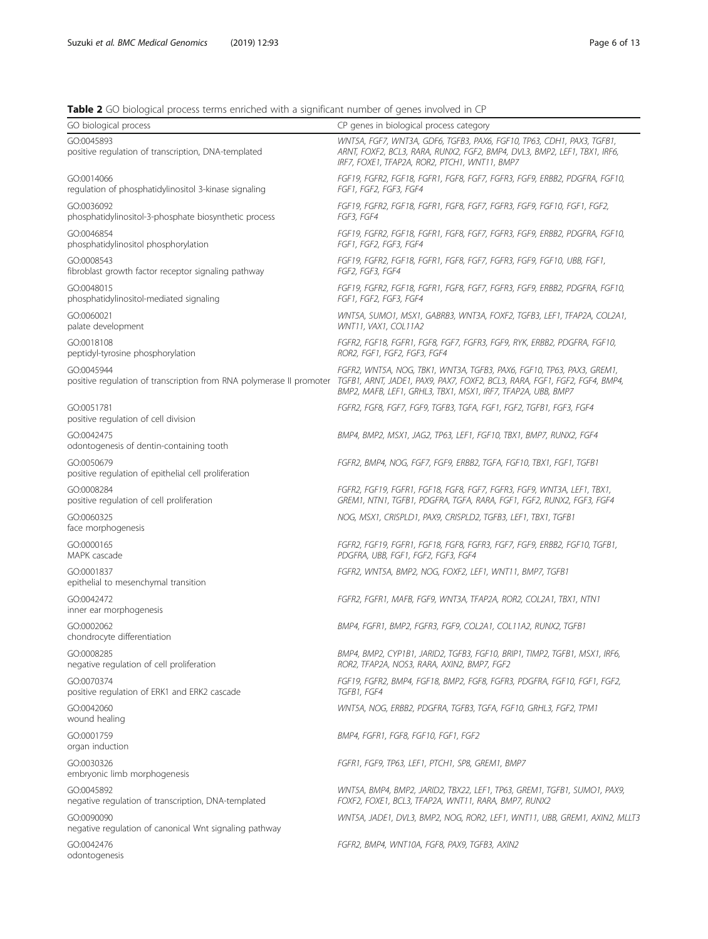# <span id="page-5-0"></span>Table 2 GO biological process terms enriched with a significant number of genes involved in CP

| GO biological process                                                | CP genes in biological process category                                                                                                                                                                                                                                                   |
|----------------------------------------------------------------------|-------------------------------------------------------------------------------------------------------------------------------------------------------------------------------------------------------------------------------------------------------------------------------------------|
| GO:0045893<br>positive regulation of transcription, DNA-templated    | WNT5A, FGF7, WNT3A, GDF6, TGFB3, PAX6, FGF10, TP63, CDH1, PAX3, TGFB1,<br>ARNT, FOXF2, BCL3, RARA, RUNX2, FGF2, BMP4, DVL3, BMP2, LEF1, TBX1, IRF6,<br>IRF7, FOXE1, TFAP2A, ROR2, PTCH1, WNT11, BMP7                                                                                      |
| GO:0014066<br>regulation of phosphatidylinositol 3-kinase signaling  | FGF19, FGFR2, FGF18, FGFR1, FGF8, FGF7, FGFR3, FGF9, ERBB2, PDGFRA, FGF10,<br>FGF1, FGF2, FGF3, FGF4                                                                                                                                                                                      |
| GO:0036092<br>phosphatidylinositol-3-phosphate biosynthetic process  | FGF19, FGFR2, FGF18, FGFR1, FGF8, FGF7, FGFR3, FGF9, FGF10, FGF1, FGF2,<br>FGF3, FGF4                                                                                                                                                                                                     |
| GO:0046854<br>phosphatidylinositol phosphorylation                   | FGF19, FGFR2, FGF18, FGFR1, FGF8, FGF7, FGFR3, FGF9, ERBB2, PDGFRA, FGF10,<br>FGF1, FGF2, FGF3, FGF4                                                                                                                                                                                      |
| GO:0008543<br>fibroblast growth factor receptor signaling pathway    | FGF19, FGFR2, FGF18, FGFR1, FGF8, FGF7, FGFR3, FGF9, FGF10, UBB, FGF1,<br>FGF2, FGF3, FGF4                                                                                                                                                                                                |
| GO:0048015<br>phosphatidylinositol-mediated signaling                | FGF19, FGFR2, FGF18, FGFR1, FGF8, FGF7, FGFR3, FGF9, ERBB2, PDGFRA, FGF10,<br>FGF1, FGF2, FGF3, FGF4                                                                                                                                                                                      |
| GO:0060021<br>palate development                                     | WNT5A, SUMO1, MSX1, GABRB3, WNT3A, FOXF2, TGFB3, LEF1, TFAP2A, COL2A1,<br>WNT11, VAX1, COL11A2                                                                                                                                                                                            |
| GO:0018108<br>peptidyl-tyrosine phosphorylation                      | FGFR2, FGF18, FGFR1, FGF8, FGF7, FGFR3, FGF9, RYK, ERBB2, PDGFRA, FGF10,<br>ROR2, FGF1, FGF2, FGF3, FGF4                                                                                                                                                                                  |
| GO:0045944                                                           | FGFR2, WNT5A, NOG, TBK1, WNT3A, TGFB3, PAX6, FGF10, TP63, PAX3, GREM1,<br>positive regulation of transcription from RNA polymerase II promoter TGFB1, ARNT, JADE1, PAX9, PAX7, FOXF2, BCL3, RARA, FGF1, FGF2, FGF4, BMP4,<br>BMP2, MAFB, LEF1, GRHL3, TBX1, MSX1, IRF7, TFAP2A, UBB, BMP7 |
| GO:0051781<br>positive regulation of cell division                   | FGFR2, FGF8, FGF7, FGF9, TGFB3, TGFA, FGF1, FGF2, TGFB1, FGF3, FGF4                                                                                                                                                                                                                       |
| GO:0042475<br>odontogenesis of dentin-containing tooth               | BMP4, BMP2, MSX1, JAG2, TP63, LEF1, FGF10, TBX1, BMP7, RUNX2, FGF4                                                                                                                                                                                                                        |
| GO:0050679<br>positive regulation of epithelial cell proliferation   | FGFR2, BMP4, NOG, FGF7, FGF9, ERBB2, TGFA, FGF10, TBX1, FGF1, TGFB1                                                                                                                                                                                                                       |
| GO:0008284<br>positive regulation of cell proliferation              | FGFR2, FGF19, FGFR1, FGF18, FGF8, FGF7, FGFR3, FGF9, WNT3A, LEF1, TBX1,<br>GREM1, NTN1, TGFB1, PDGFRA, TGFA, RARA, FGF1, FGF2, RUNX2, FGF3, FGF4                                                                                                                                          |
| GO:0060325<br>face morphogenesis                                     | NOG, MSX1, CRISPLD1, PAX9, CRISPLD2, TGFB3, LEF1, TBX1, TGFB1                                                                                                                                                                                                                             |
| GO:0000165<br>MAPK cascade                                           | FGFR2, FGF19, FGFR1, FGF18, FGF8, FGFR3, FGF7, FGF9, ERBB2, FGF10, TGFB1,<br>PDGFRA, UBB, FGF1, FGF2, FGF3, FGF4                                                                                                                                                                          |
| GO:0001837<br>epithelial to mesenchymal transition                   | FGFR2, WNT5A, BMP2, NOG, FOXF2, LEF1, WNT11, BMP7, TGFB1                                                                                                                                                                                                                                  |
| GO:0042472<br>inner ear morphogenesis                                | FGFR2, FGFR1, MAFB, FGF9, WNT3A, TFAP2A, ROR2, COL2A1, TBX1, NTN1                                                                                                                                                                                                                         |
| GO:0002062<br>chondrocyte differentiation                            | BMP4, FGFR1, BMP2, FGFR3, FGF9, COL2A1, COL11A2, RUNX2, TGFB1                                                                                                                                                                                                                             |
| GO:0008285<br>negative regulation of cell proliferation              | BMP4, BMP2, CYP1B1, JARID2, TGFB3, FGF10, BRIP1, TIMP2, TGFB1, MSX1, IRF6,<br>ROR2, TFAP2A, NOS3, RARA, AXIN2, BMP7, FGF2                                                                                                                                                                 |
| GO:0070374<br>positive regulation of ERK1 and ERK2 cascade           | FGF19, FGFR2, BMP4, FGF18, BMP2, FGF8, FGFR3, PDGFRA, FGF10, FGF1, FGF2,<br>TGFB1, FGF4                                                                                                                                                                                                   |
| GO:0042060<br>wound healing                                          | WNT5A, NOG, ERBB2, PDGFRA, TGFB3, TGFA, FGF10, GRHL3, FGF2, TPM1                                                                                                                                                                                                                          |
| GO:0001759<br>organ induction                                        | BMP4, FGFR1, FGF8, FGF10, FGF1, FGF2                                                                                                                                                                                                                                                      |
| GO:0030326<br>embryonic limb morphogenesis                           | FGFR1, FGF9, TP63, LEF1, PTCH1, SP8, GREM1, BMP7                                                                                                                                                                                                                                          |
| GO:0045892<br>negative regulation of transcription, DNA-templated    | WNT5A, BMP4, BMP2, JARID2, TBX22, LEF1, TP63, GREM1, TGFB1, SUMO1, PAX9,<br>FOXF2, FOXE1, BCL3, TFAP2A, WNT11, RARA, BMP7, RUNX2                                                                                                                                                          |
| GO:0090090<br>negative regulation of canonical Wnt signaling pathway | WNT5A, JADE1, DVL3, BMP2, NOG, ROR2, LEF1, WNT11, UBB, GREM1, AXIN2, MLLT3                                                                                                                                                                                                                |
| GO:0042476<br>odontogenesis                                          | FGFR2, BMP4, WNT10A, FGF8, PAX9, TGFB3, AXIN2                                                                                                                                                                                                                                             |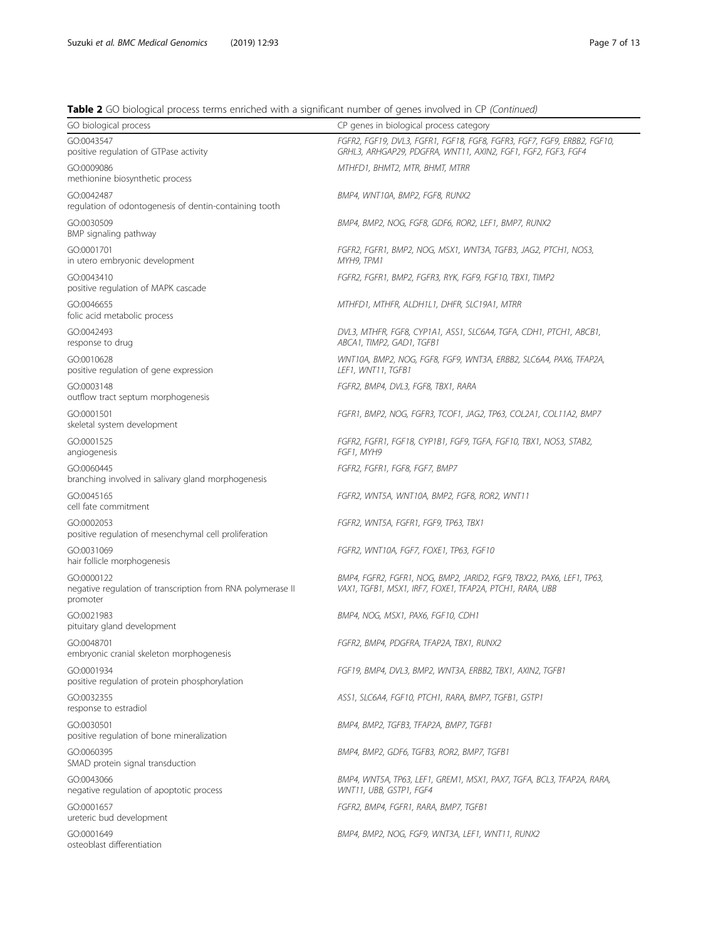# Table 2 GO biological process terms enriched with a significant number of genes involved in CP (Continued)

| <b>Table 2</b> OO DIOIOGICAL DIOCESS tEHTIS EHIICHEU WILH A SIGHIIICAHT HUHIDEL OF GEHES IHVOIVEU IH CH (COMMACU) |                                                                                                                                           |
|-------------------------------------------------------------------------------------------------------------------|-------------------------------------------------------------------------------------------------------------------------------------------|
| GO biological process                                                                                             | CP genes in biological process category                                                                                                   |
| GO:0043547<br>positive regulation of GTPase activity                                                              | FGFR2, FGF19, DVL3, FGFR1, FGF18, FGF8, FGFR3, FGF7, FGF9, ERBB2, FGF10,<br>GRHL3, ARHGAP29, PDGFRA, WNT11, AXIN2, FGF1, FGF2, FGF3, FGF4 |
| GO:0009086<br>methionine biosynthetic process                                                                     | MTHFD1, BHMT2, MTR, BHMT, MTRR                                                                                                            |
| GO:0042487<br>regulation of odontogenesis of dentin-containing tooth                                              | BMP4, WNT10A, BMP2, FGF8, RUNX2                                                                                                           |
| GO:0030509<br>BMP signaling pathway                                                                               | BMP4, BMP2, NOG, FGF8, GDF6, ROR2, LEF1, BMP7, RUNX2                                                                                      |
| GO:0001701<br>in utero embryonic development                                                                      | FGFR2, FGFR1, BMP2, NOG, MSX1, WNT3A, TGFB3, JAG2, PTCH1, NOS3,<br>MYH9, TPM1                                                             |
| GO:0043410<br>positive regulation of MAPK cascade                                                                 | FGFR2, FGFR1, BMP2, FGFR3, RYK, FGF9, FGF10, TBX1, TIMP2                                                                                  |
| GO:0046655<br>folic acid metabolic process                                                                        | MTHFD1, MTHFR, ALDH1L1, DHFR, SLC19A1, MTRR                                                                                               |
| GO:0042493<br>response to drug                                                                                    | DVL3, MTHFR, FGF8, CYP1A1, ASS1, SLC6A4, TGFA, CDH1, PTCH1, ABCB1,<br>ABCA1, TIMP2, GAD1, TGFB1                                           |
| GO:0010628<br>positive regulation of gene expression                                                              | WNT10A, BMP2, NOG, FGF8, FGF9, WNT3A, ERBB2, SLC6A4, PAX6, TFAP2A,<br>LEF1, WNT11, TGFB1                                                  |
| GO:0003148<br>outflow tract septum morphogenesis                                                                  | FGFR2, BMP4, DVL3, FGF8, TBX1, RARA                                                                                                       |
| GO:0001501<br>skeletal system development                                                                         | FGFR1, BMP2, NOG, FGFR3, TCOF1, JAG2, TP63, COL2A1, COL11A2, BMP7                                                                         |
| GO:0001525<br>angiogenesis                                                                                        | FGFR2, FGFR1, FGF18, CYP1B1, FGF9, TGFA, FGF10, TBX1, NOS3, STAB2,<br>FGF1, MYH9                                                          |
| GO:0060445<br>branching involved in salivary gland morphogenesis                                                  | FGFR2, FGFR1, FGF8, FGF7, BMP7                                                                                                            |
| GO:0045165<br>cell fate commitment                                                                                | FGFR2, WNT5A, WNT10A, BMP2, FGF8, ROR2, WNT11                                                                                             |
| GO:0002053<br>positive regulation of mesenchymal cell proliferation                                               | FGFR2, WNT5A, FGFR1, FGF9, TP63, TBX1                                                                                                     |
| GO:0031069<br>hair follicle morphogenesis                                                                         | FGFR2, WNT10A, FGF7, FOXE1, TP63, FGF10                                                                                                   |
| GO:0000122<br>negative regulation of transcription from RNA polymerase II<br>promoter                             | BMP4, FGFR2, FGFR1, NOG, BMP2, JARID2, FGF9, TBX22, PAX6, LEF1, TP63,<br>VAX1, TGFB1, MSX1, IRF7, FOXE1, TFAP2A, PTCH1, RARA, UBB         |
| GO:0021983<br>pituitary gland development                                                                         | BMP4, NOG, MSX1, PAX6, FGF10, CDH1                                                                                                        |
| GO:0048701<br>embryonic cranial skeleton morphogenesis                                                            | FGFR2, BMP4, PDGFRA, TFAP2A, TBX1, RUNX2                                                                                                  |
| GO:0001934<br>positive regulation of protein phosphorylation                                                      | FGF19, BMP4, DVL3, BMP2, WNT3A, ERBB2, TBX1, AXIN2, TGFB1                                                                                 |
| GO:0032355<br>response to estradiol                                                                               | ASS1, SLC6A4, FGF10, PTCH1, RARA, BMP7, TGFB1, GSTP1                                                                                      |
| GO:0030501<br>positive regulation of bone mineralization                                                          | BMP4, BMP2, TGFB3, TFAP2A, BMP7, TGFB1                                                                                                    |
| GO:0060395<br>SMAD protein signal transduction                                                                    | BMP4, BMP2, GDF6, TGFB3, ROR2, BMP7, TGFB1                                                                                                |
| GO:0043066<br>negative regulation of apoptotic process                                                            | BMP4, WNT5A, TP63, LEF1, GREM1, MSX1, PAX7, TGFA, BCL3, TFAP2A, RARA,<br>WNT11, UBB, GSTP1, FGF4                                          |
| GO:0001657<br>ureteric bud development                                                                            | FGFR2, BMP4, FGFR1, RARA, BMP7, TGFB1                                                                                                     |
| GO:0001649<br>osteoblast differentiation                                                                          | BMP4, BMP2, NOG, FGF9, WNT3A, LEF1, WNT11, RUNX2                                                                                          |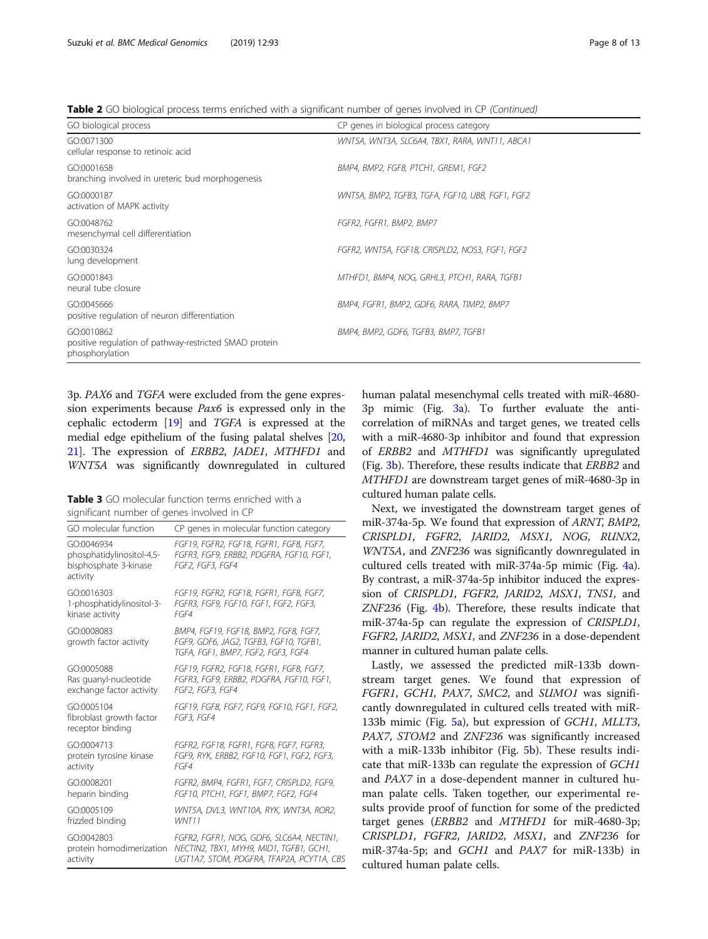<span id="page-7-0"></span>Table 2 GO biological process terms enriched with a significant number of genes involved in CP (Continued)

| GO biological process                                                                   | CP genes in biological process category          |
|-----------------------------------------------------------------------------------------|--------------------------------------------------|
| GO:0071300<br>cellular response to retinoic acid                                        | WNT5A, WNT3A, SLC6A4, TBX1, RARA, WNT11, ABCA1   |
| GO:0001658<br>branching involved in ureteric bud morphogenesis                          | BMP4, BMP2, FGF8, PTCH1, GREM1, FGF2             |
| GO:0000187<br>activation of MAPK activity                                               | WNT5A, BMP2, TGFB3, TGFA, FGF10, UBB, FGF1, FGF2 |
| GO:0048762<br>mesenchymal cell differentiation                                          | FGFR2, FGFR1, BMP2, BMP7                         |
| GO:0030324<br>lung development                                                          | FGFR2, WNT5A, FGF18, CRISPLD2, NOS3, FGF1, FGF2  |
| GO:0001843<br>neural tube closure                                                       | MTHFD1, BMP4, NOG, GRHL3, PTCH1, RARA, TGFB1     |
| GO:0045666<br>positive regulation of neuron differentiation                             | BMP4, FGFR1, BMP2, GDF6, RARA, TIMP2, BMP7       |
| GO:0010862<br>positive regulation of pathway-restricted SMAD protein<br>phosphorylation | BMP4, BMP2, GDF6, TGFB3, BMP7, TGFB1             |

3p. PAX6 and TGFA were excluded from the gene expression experiments because Pax6 is expressed only in the cephalic ectoderm [\[19\]](#page-11-0) and TGFA is expressed at the medial edge epithelium of the fusing palatal shelves [[20](#page-11-0), [21](#page-11-0)]. The expression of ERBB2, JADE1, MTHFD1 and WNT5A was significantly downregulated in cultured

Table 3 GO molecular function terms enriched with a significant number of genes involved in CP

| GO molecular function                                                        | CP genes in molecular function category                                                                               |
|------------------------------------------------------------------------------|-----------------------------------------------------------------------------------------------------------------------|
| GO:0046934<br>phosphatidylinositol-4,5-<br>bisphosphate 3-kinase<br>activity | FGF19, FGFR2, FGF18, FGFR1, FGF8, FGF7,<br>FGFR3, FGF9, ERBB2, PDGFRA, FGF10, FGF1,<br>FGF2, FGF3, FGF4               |
| GO:0016303                                                                   | FGF19, FGFR2, FGF18, FGFR1, FGF8, FGF7,                                                                               |
| 1-phosphatidylinositol-3-                                                    | FGFR3, FGF9, FGF10, FGF1, FGF2, FGF3,                                                                                 |
| kinase activity                                                              | FGF4                                                                                                                  |
| GO:0008083<br>growth factor activity                                         | BMP4, FGF19, FGF18, BMP2, FGF8, FGF7,<br>FGF9, GDF6, JAG2, TGFB3, FGF10, TGFB1,<br>TGFA, FGF1, BMP7, FGF2, FGF3, FGF4 |
| GO:0005088                                                                   | FGF19, FGFR2, FGF18, FGFR1, FGF8, FGF7,                                                                               |
| Ras guanyl-nucleotide                                                        | FGFR3, FGF9, ERBB2, PDGFRA, FGF10, FGF1,                                                                              |
| exchange factor activity                                                     | FGF2, FGF3, FGF4                                                                                                      |
| GO:0005104<br>fibroblast growth factor<br>receptor binding                   | FGF19, FGF8, FGF7, FGF9, FGF10, FGF1, FGF2,<br>FGF3, FGF4                                                             |
| GO:0004713                                                                   | FGFR2, FGF18, FGFR1, FGF8, FGF7, FGFR3,                                                                               |
| protein tyrosine kinase                                                      | FGF9, RYK, ERBB2, FGF10, FGF1, FGF2, FGF3,                                                                            |
| activity                                                                     | FGF4                                                                                                                  |
| GO:0008201                                                                   | FGFR2, BMP4, FGFR1, FGF7, CRISPLD2, FGF9,                                                                             |
| heparin binding                                                              | FGF10, PTCH1, FGF1, BMP7, FGF2, FGF4                                                                                  |
| GO:0005109                                                                   | WNT5A, DVL3, WNT10A, RYK, WNT3A, ROR2,                                                                                |
| frizzled binding                                                             | WNT11                                                                                                                 |
| GO:0042803                                                                   | FGFR2, FGFR1, NOG, GDF6, SLC6A4, NECTIN1,                                                                             |
| protein homodimerization                                                     | NECTIN2, TBX1, MYH9, MID1, TGFB1, GCH1,                                                                               |
| activity                                                                     | UGT1A7, STOM, PDGFRA, TFAP2A, PCYT1A, CBS                                                                             |

human palatal mesenchymal cells treated with miR-4680- 3p mimic (Fig. [3](#page-9-0)a). To further evaluate the anticorrelation of miRNAs and target genes, we treated cells with a miR-4680-3p inhibitor and found that expression of ERBB2 and MTHFD1 was significantly upregulated (Fig. [3b](#page-9-0)). Therefore, these results indicate that ERBB2 and MTHFD1 are downstream target genes of miR-4680-3p in cultured human palate cells.

Next, we investigated the downstream target genes of miR-374a-5p. We found that expression of ARNT, BMP2, CRISPLD1, FGFR2, JARID2, MSX1, NOG, RUNX2, WNT5A, and ZNF236 was significantly downregulated in cultured cells treated with miR-374a-5p mimic (Fig. [4](#page-9-0)a). By contrast, a miR-374a-5p inhibitor induced the expression of CRISPLD1, FGFR2, JARID2, MSX1, TNS1, and ZNF236 (Fig. [4b](#page-9-0)). Therefore, these results indicate that miR-374a-5p can regulate the expression of CRISPLD1, FGFR2, JARID2, MSX1, and ZNF236 in a dose-dependent manner in cultured human palate cells.

Lastly, we assessed the predicted miR-133b downstream target genes. We found that expression of FGFR1, GCH1, PAX7, SMC2, and SUMO1 was significantly downregulated in cultured cells treated with miR-133b mimic (Fig. [5a](#page-10-0)), but expression of GCH1, MLLT3, PAX7, STOM2 and ZNF236 was significantly increased with a miR-133b inhibitor (Fig. [5](#page-10-0)b). These results indicate that miR-133b can regulate the expression of GCH1 and PAX7 in a dose-dependent manner in cultured human palate cells. Taken together, our experimental results provide proof of function for some of the predicted target genes (ERBB2 and MTHFD1 for miR-4680-3p; CRISPLD1, FGFR2, JARID2, MSX1, and ZNF236 for miR-374a-5p; and GCH1 and PAX7 for miR-133b) in cultured human palate cells.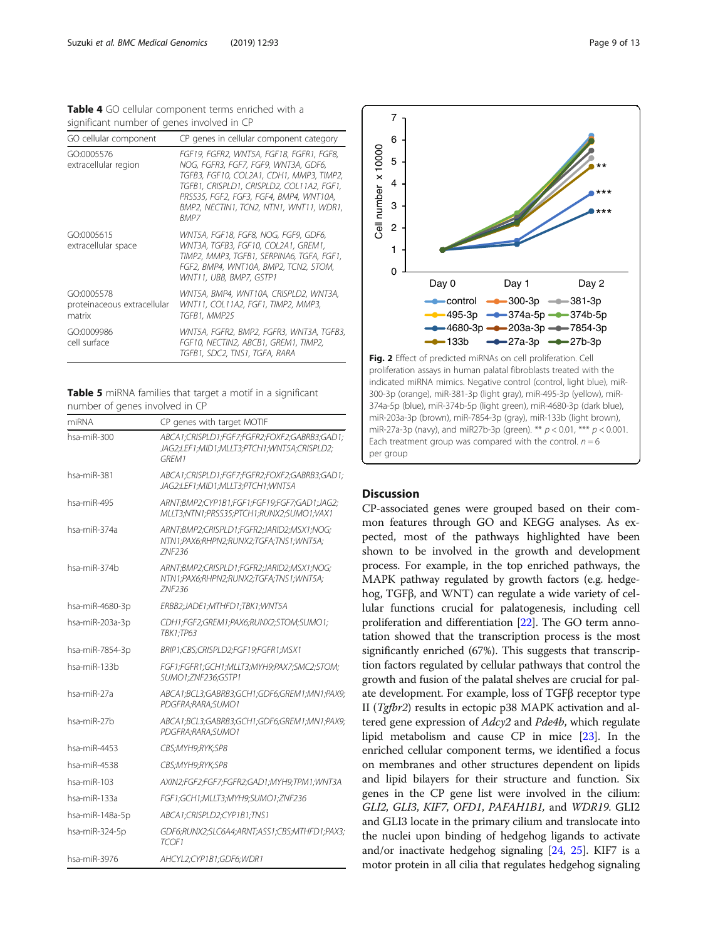<span id="page-8-0"></span>Table 4 GO cellular component terms enriched with a significant number of genes involved in CP

| GO cellular component                               | CP genes in cellular component category                                                                                                                                                                                                                                        |
|-----------------------------------------------------|--------------------------------------------------------------------------------------------------------------------------------------------------------------------------------------------------------------------------------------------------------------------------------|
| GO:0005576<br>extracellular region                  | FGF19, FGFR2, WNT5A, FGF18, FGFR1, FGF8,<br>NOG, FGFR3, FGF7, FGF9, WNT3A, GDF6,<br>TGFB3, FGF10, COL2A1, CDH1, MMP3, TIMP2,<br>TGFB1, CRISPLD1, CRISPLD2, COL11A2, FGF1,<br>PRSS35. FGF2. FGF3. FGF4. BMP4. WNT10A.<br>BMP2, NECTIN1, TCN2, NTN1, WNT11, WDR1,<br><b>BMP7</b> |
| GO:0005615<br>extracellular space                   | WNT5A, FGF18, FGF8, NOG, FGF9, GDF6,<br>WNT3A, TGFB3, FGF10, COL2A1, GREM1,<br>TIMP2, MMP3, TGFB1, SERPINA6, TGFA, FGF1,<br>FGF2, BMP4, WNT10A, BMP2, TCN2, STOM,<br>WNT11. UBB. BMP7. GSTP1                                                                                   |
| GO:0005578<br>proteinaceous extracellular<br>matrix | WNT5A, BMP4, WNT10A, CRISPLD2, WNT3A,<br>WNT11, COL11A2, FGF1, TIMP2, MMP3,<br>TGFB1. MMP25                                                                                                                                                                                    |
| GO:0009986<br>cell surface                          | WNT5A, FGFR2, BMP2, FGFR3, WNT3A, TGFB3,<br>FGF10, NECTIN2, ABCB1, GREM1, TIMP2,<br>TGFB1. SDC2. TNS1. TGFA. RARA                                                                                                                                                              |

Table 5 miRNA families that target a motif in a significant number of genes involved in CP

| miRNA           | CP genes with target MOTIF                                                                           |
|-----------------|------------------------------------------------------------------------------------------------------|
| hsa-miR-300     | ABCA1;CRISPLD1;FGF7;FGFR2;FOXF2;GABRB3;GAD1;<br>JAG2;LEF1;MID1;MLLT3;PTCH1;WNT5A;CRISPLD2;<br>GRFM1  |
| hsa-miR-381     | ABCA1;CRISPLD1;FGF7;FGFR2;FOXF2;GABRB3;GAD1;<br>JAG2;LEF1;MID1;MLLT3;PTCH1;WNT5A                     |
| hsa-miR-495     | ARNT;BMP2;CYP1B1;FGF1;FGF19;FGF7;GAD1;JAG2;<br>MLLT3;NTN1;PRSS35;PTCH1;RUNX2;SUMO1;VAX1              |
| hsa-miR-374a    | ARNT;BMP2;CRISPLD1;FGFR2;JARID2;MSX1;NOG;<br>NTN1;PAX6;RHPN2;RUNX2;TGFA;TNS1;WNT5A;<br><b>ZNF236</b> |
| hsa-miR-374b    | ARNT;BMP2;CRISPLD1;FGFR2;JARID2;MSX1;NOG;<br>NTN1;PAX6;RHPN2;RUNX2;TGFA;TNS1;WNT5A;<br>ZNF236        |
| hsa-miR-4680-3p | ERBB2;JADE1;MTHFD1;TBK1;WNT5A                                                                        |
| hsa-miR-203a-3p | CDH1;FGF2;GREM1;PAX6;RUNX2;STOM;SUMO1;<br>TBK1;TP63                                                  |
| hsa-miR-7854-3p | BRIP1;CBS;CRISPLD2;FGF19;FGFR1;MSX1                                                                  |
| hsa-miR-133b    | FGF1;FGFR1;GCH1;MLLT3;MYH9;PAX7;SMC2;STOM;<br>SUMO1:ZNF236:GSTP1                                     |
| hsa-miR-27a     | ABCA1;BCL3;GABRB3;GCH1;GDF6;GREM1;MN1;PAX9;<br>PDGFRA:RARA:SUMO1                                     |
| hsa-miR-27b     | ABCA1;BCL3;GABRB3;GCH1;GDF6;GREM1;MN1;PAX9;<br>PDGFRA;RARA;SUMO1                                     |
| hsa-miR-4453    | CBS;MYH9;RYK;SP8                                                                                     |
| hsa-miR-4538    | CBS;MYH9;RYK;SP8                                                                                     |
| hsa-miR-103     | AXIN2;FGF2;FGF7;FGFR2;GAD1;MYH9;TPM1;WNT3A                                                           |
| hsa-miR-133a    | FGF1;GCH1;MLLT3;MYH9;SUMO1;ZNF236                                                                    |
| hsa-miR-148a-5p | ABCA1;CRISPLD2;CYP1B1;TNS1                                                                           |
| hsa-miR-324-5p  | GDF6;RUNX2;SLC6A4;ARNT;ASS1;CBS;MTHFD1;PAX3;<br>TCOF1                                                |
| hsa-miR-3976    | AHCYL2;CYP1B1;GDF6;WDR1                                                                              |



# **Discussion**

CP-associated genes were grouped based on their common features through GO and KEGG analyses. As expected, most of the pathways highlighted have been shown to be involved in the growth and development process. For example, in the top enriched pathways, the MAPK pathway regulated by growth factors (e.g. hedgehog, TGFβ, and WNT) can regulate a wide variety of cellular functions crucial for palatogenesis, including cell proliferation and differentiation [\[22\]](#page-11-0). The GO term annotation showed that the transcription process is the most significantly enriched (67%). This suggests that transcription factors regulated by cellular pathways that control the growth and fusion of the palatal shelves are crucial for palate development. For example, loss of TGFβ receptor type II (Tgfbr2) results in ectopic p38 MAPK activation and altered gene expression of  $Adc$ y2 and  $Pde4b$ , which regulate lipid metabolism and cause CP in mice [\[23\]](#page-11-0). In the enriched cellular component terms, we identified a focus on membranes and other structures dependent on lipids and lipid bilayers for their structure and function. Six genes in the CP gene list were involved in the cilium: GLI2, GLI3, KIF7, OFD1, PAFAH1B1, and WDR19. GLI2 and GLI3 locate in the primary cilium and translocate into the nuclei upon binding of hedgehog ligands to activate and/or inactivate hedgehog signaling [\[24,](#page-11-0) [25](#page-11-0)]. KIF7 is a motor protein in all cilia that regulates hedgehog signaling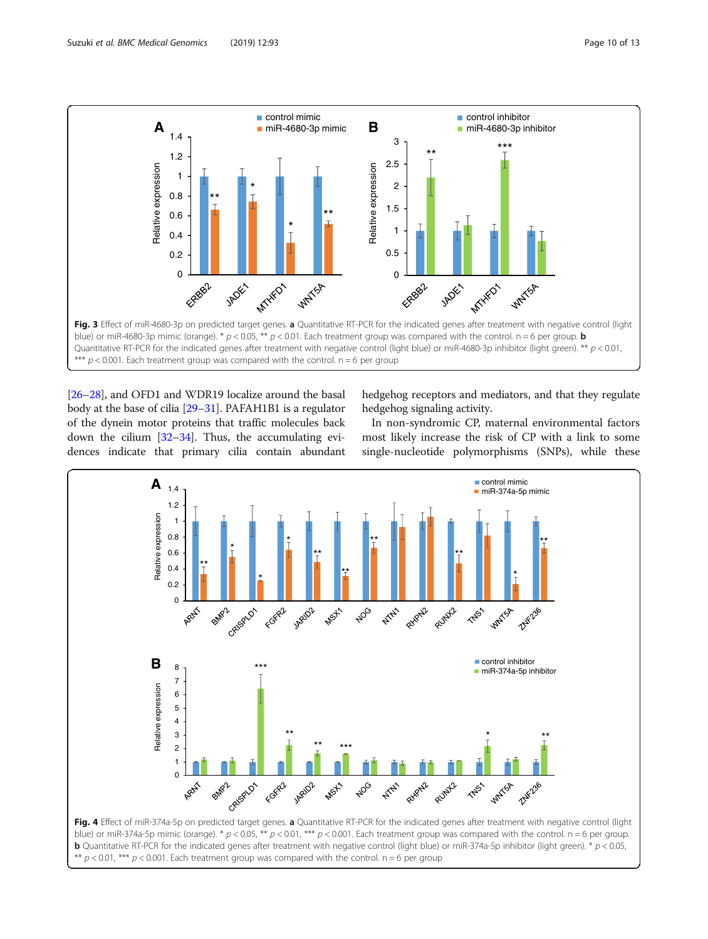<span id="page-9-0"></span>

[[26](#page-11-0)–[28\]](#page-11-0), and OFD1 and WDR19 localize around the basal body at the base of cilia [[29](#page-11-0)–[31\]](#page-12-0). PAFAH1B1 is a regulator of the dynein motor proteins that traffic molecules back down the cilium [\[32](#page-12-0)–[34\]](#page-12-0). Thus, the accumulating evidences indicate that primary cilia contain abundant

hedgehog receptors and mediators, and that they regulate hedgehog signaling activity.

In non-syndromic CP, maternal environmental factors most likely increase the risk of CP with a link to some single-nucleotide polymorphisms (SNPs), while these



blue) or miR-374a-5p mimic (orange). \*  $p < 0.05$ , \*\*  $p < 0.01$ , \*\*\*  $p < 0.001$ . Each treatment group was compared with the control. n = 6 per group. **b** Quantitative RT-PCR for the indicated genes after treatment with negative control (light blue) or miR-374a-5p inhibitor (light green). \*  $p < 0.05$ , \*\*  $p < 0.01$ , \*\*\*  $p < 0.001$ . Each treatment group was compared with the control.  $n = 6$  per group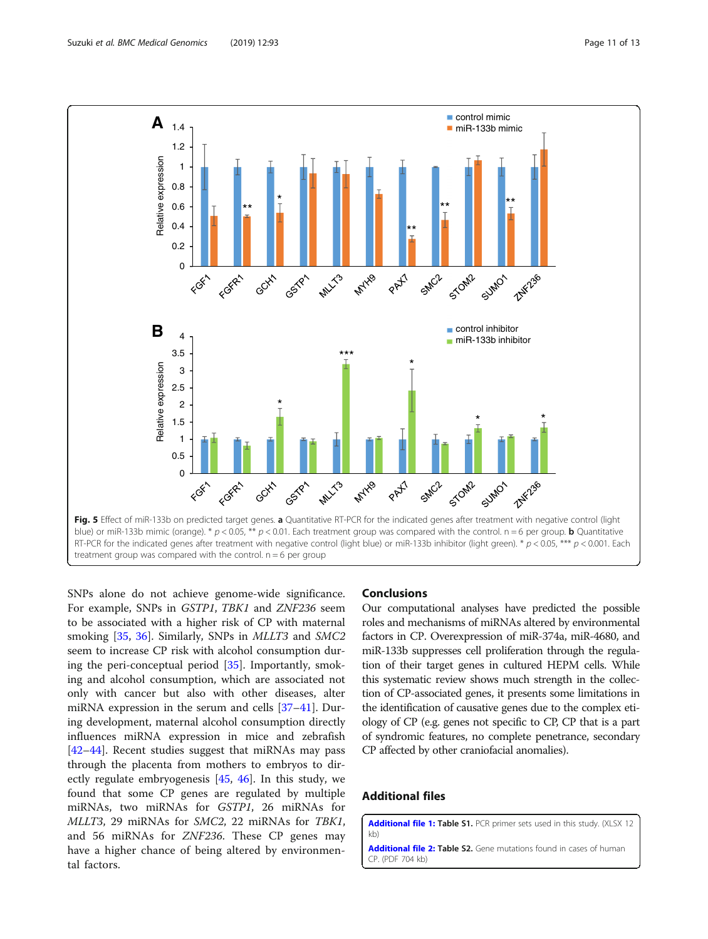<span id="page-10-0"></span>

SNPs alone do not achieve genome-wide significance. For example, SNPs in GSTP1, TBK1 and ZNF236 seem to be associated with a higher risk of CP with maternal smoking [\[35](#page-12-0), [36](#page-12-0)]. Similarly, SNPs in *MLLT3* and *SMC2* seem to increase CP risk with alcohol consumption during the peri-conceptual period [\[35](#page-12-0)]. Importantly, smoking and alcohol consumption, which are associated not only with cancer but also with other diseases, alter miRNA expression in the serum and cells [[37](#page-12-0)–[41](#page-12-0)]. During development, maternal alcohol consumption directly influences miRNA expression in mice and zebrafish [[42](#page-12-0)–[44](#page-12-0)]. Recent studies suggest that miRNAs may pass through the placenta from mothers to embryos to directly regulate embryogenesis [[45,](#page-12-0) [46\]](#page-12-0). In this study, we found that some CP genes are regulated by multiple miRNAs, two miRNAs for GSTP1, 26 miRNAs for MLLT3, 29 miRNAs for SMC2, 22 miRNAs for TBK1, and 56 miRNAs for ZNF236. These CP genes may have a higher chance of being altered by environmental factors.

#### Conclusions

Our computational analyses have predicted the possible roles and mechanisms of miRNAs altered by environmental factors in CP. Overexpression of miR-374a, miR-4680, and miR-133b suppresses cell proliferation through the regulation of their target genes in cultured HEPM cells. While this systematic review shows much strength in the collection of CP-associated genes, it presents some limitations in the identification of causative genes due to the complex etiology of CP (e.g. genes not specific to CP, CP that is a part of syndromic features, no complete penetrance, secondary CP affected by other craniofacial anomalies).

# Additional files

[Additional file 1:](https://doi.org/10.1186/s12920-019-0546-z) Table S1. PCR primer sets used in this study. (XLSX 12 kb)

[Additional file 2:](https://doi.org/10.1186/s12920-019-0546-z) Table S2. Gene mutations found in cases of human CP. (PDF 704 kb)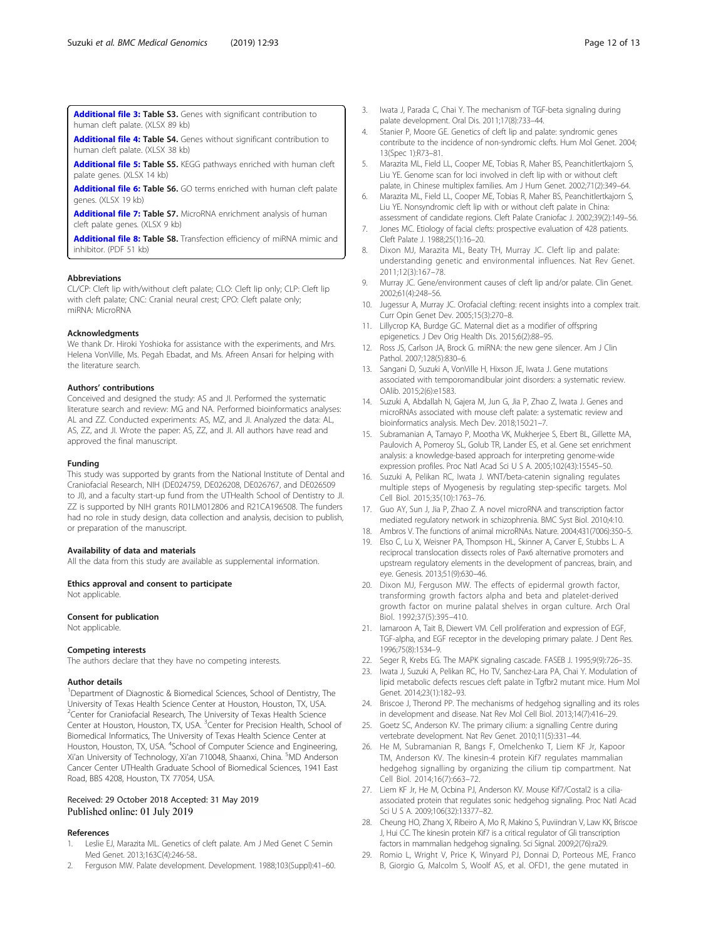<span id="page-11-0"></span>[Additional file 3:](https://doi.org/10.1186/s12920-019-0546-z) Table S3. Genes with significant contribution to human cleft palate. (XLSX 89 kb)

[Additional file 4:](https://doi.org/10.1186/s12920-019-0546-z) Table S4. Genes without significant contribution to human cleft palate. (XLSX 38 kb)

[Additional file 5:](https://doi.org/10.1186/s12920-019-0546-z) Table S5. KEGG pathways enriched with human cleft palate genes. (XLSX 14 kb)

[Additional file 6:](https://doi.org/10.1186/s12920-019-0546-z) Table S6. GO terms enriched with human cleft palate genes. (XLSX 19 kb)

[Additional file 7:](https://doi.org/10.1186/s12920-019-0546-z) Table S7. MicroRNA enrichment analysis of human cleft palate genes. (XLSX 9 kb)

[Additional file 8:](https://doi.org/10.1186/s12920-019-0546-z) Table S8. Transfection efficiency of miRNA mimic and inhibitor. (PDF 51 kb)

#### Abbreviations

CL/CP: Cleft lip with/without cleft palate; CLO: Cleft lip only; CLP: Cleft lip with cleft palate; CNC: Cranial neural crest; CPO: Cleft palate only; miRNA: MicroRNA

#### Acknowledgments

We thank Dr. Hiroki Yoshioka for assistance with the experiments, and Mrs. Helena VonVille, Ms. Pegah Ebadat, and Ms. Afreen Ansari for helping with the literature search.

#### Authors' contributions

Conceived and designed the study: AS and JI. Performed the systematic literature search and review: MG and NA. Performed bioinformatics analyses: AL and ZZ. Conducted experiments: AS, MZ, and JI. Analyzed the data: AL, AS, ZZ, and JI. Wrote the paper: AS, ZZ, and JI. All authors have read and approved the final manuscript.

#### Funding

This study was supported by grants from the National Institute of Dental and Craniofacial Research, NIH (DE024759, DE026208, DE026767, and DE026509 to JI), and a faculty start-up fund from the UTHealth School of Dentistry to JI. ZZ is supported by NIH grants R01LM012806 and R21CA196508. The funders had no role in study design, data collection and analysis, decision to publish, or preparation of the manuscript.

#### Availability of data and materials

All the data from this study are available as supplemental information.

# Ethics approval and consent to participate

Not applicable

#### Consent for publication

Not applicable.

#### Competing interests

The authors declare that they have no competing interests.

#### Author details

<sup>1</sup>Department of Diagnostic & Biomedical Sciences, School of Dentistry, The University of Texas Health Science Center at Houston, Houston, TX, USA. <sup>2</sup>Center for Craniofacial Research, The University of Texas Health Science Center at Houston, Houston, TX, USA. <sup>3</sup>Center for Precision Health, School of Biomedical Informatics, The University of Texas Health Science Center at Houston, Houston, TX, USA. <sup>4</sup>School of Computer Science and Engineering, Xi'an University of Technology, Xi'an 710048, Shaanxi, China. <sup>5</sup>MD Anderson Cancer Center UTHealth Graduate School of Biomedical Sciences, 1941 East Road, BBS 4208, Houston, TX 77054, USA.

#### Received: 29 October 2018 Accepted: 31 May 2019 Published online: 01 July 2019

#### References

- Leslie EJ, Marazita ML. Genetics of cleft palate. Am J Med Genet C Semin Med Genet. 2013;163C(4):246-58..
- 2. Ferguson MW. Palate development. Development. 1988;103(Suppl):41–60.
- 3. Iwata J, Parada C, Chai Y. The mechanism of TGF-beta signaling during palate development. Oral Dis. 2011;17(8):733–44.
- 4. Stanier P, Moore GE. Genetics of cleft lip and palate: syndromic genes contribute to the incidence of non-syndromic clefts. Hum Mol Genet. 2004; 13(Spec 1):R73–81.
- 5. Marazita ML, Field LL, Cooper ME, Tobias R, Maher BS, Peanchitlertkajorn S, Liu YE. Genome scan for loci involved in cleft lip with or without cleft palate, in Chinese multiplex families. Am J Hum Genet. 2002;71(2):349–64.
- 6. Marazita ML, Field LL, Cooper ME, Tobias R, Maher BS, Peanchitlertkajorn S, Liu YE. Nonsyndromic cleft lip with or without cleft palate in China: assessment of candidate regions. Cleft Palate Craniofac J. 2002;39(2):149–56.
- 7. Jones MC. Etiology of facial clefts: prospective evaluation of 428 patients. Cleft Palate J. 1988;25(1):16–20.
- 8. Dixon MJ, Marazita ML, Beaty TH, Murray JC. Cleft lip and palate: understanding genetic and environmental influences. Nat Rev Genet. 2011;12(3):167–78.
- 9. Murray JC. Gene/environment causes of cleft lip and/or palate. Clin Genet. 2002;61(4):248–56.
- 10. Jugessur A, Murray JC. Orofacial clefting: recent insights into a complex trait. Curr Opin Genet Dev. 2005;15(3):270–8.
- 11. Lillycrop KA, Burdge GC. Maternal diet as a modifier of offspring epigenetics. J Dev Orig Health Dis. 2015;6(2):88–95.
- 12. Ross JS, Carlson JA, Brock G. miRNA: the new gene silencer. Am J Clin Pathol. 2007;128(5):830–6.
- 13. Sangani D, Suzuki A, VonVille H, Hixson JE, Iwata J. Gene mutations associated with temporomandibular joint disorders: a systematic review. OAlib. 2015;2(6):e1583.
- 14. Suzuki A, Abdallah N, Gajera M, Jun G, Jia P, Zhao Z, Iwata J. Genes and microRNAs associated with mouse cleft palate: a systematic review and bioinformatics analysis. Mech Dev. 2018;150:21–7.
- 15. Subramanian A, Tamayo P, Mootha VK, Mukherjee S, Ebert BL, Gillette MA, Paulovich A, Pomeroy SL, Golub TR, Lander ES, et al. Gene set enrichment analysis: a knowledge-based approach for interpreting genome-wide expression profiles. Proc Natl Acad Sci U S A. 2005;102(43):15545–50.
- 16. Suzuki A, Pelikan RC, Iwata J. WNT/beta-catenin signaling regulates multiple steps of Myogenesis by regulating step-specific targets. Mol Cell Biol. 2015;35(10):1763–76.
- 17. Guo AY, Sun J, Jia P, Zhao Z. A novel microRNA and transcription factor mediated regulatory network in schizophrenia. BMC Syst Biol. 2010;4:10.
- 18. Ambros V. The functions of animal microRNAs. Nature. 2004;431(7006):350–5.
- 19. Elso C, Lu X, Weisner PA, Thompson HL, Skinner A, Carver E, Stubbs L. A reciprocal translocation dissects roles of Pax6 alternative promoters and upstream regulatory elements in the development of pancreas, brain, and eye. Genesis. 2013;51(9):630–46.
- 20. Dixon MJ, Ferguson MW. The effects of epidermal growth factor, transforming growth factors alpha and beta and platelet-derived growth factor on murine palatal shelves in organ culture. Arch Oral Biol. 1992;37(5):395–410.
- 21. Iamaroon A, Tait B, Diewert VM. Cell proliferation and expression of EGF, TGF-alpha, and EGF receptor in the developing primary palate. J Dent Res. 1996;75(8):1534–9.
- 22. Seger R, Krebs EG. The MAPK signaling cascade. FASEB J. 1995;9(9):726–35.
- 23. Iwata J, Suzuki A, Pelikan RC, Ho TV, Sanchez-Lara PA, Chai Y. Modulation of lipid metabolic defects rescues cleft palate in Tgfbr2 mutant mice. Hum Mol Genet. 2014;23(1):182–93.
- 24. Briscoe J, Therond PP. The mechanisms of hedgehog signalling and its roles in development and disease. Nat Rev Mol Cell Biol. 2013;14(7):416–29.
- 25. Goetz SC, Anderson KV. The primary cilium: a signalling Centre during vertebrate development. Nat Rev Genet. 2010;11(5):331–44.
- 26. He M, Subramanian R, Bangs F, Omelchenko T, Liem KF Jr, Kapoor TM, Anderson KV. The kinesin-4 protein Kif7 regulates mammalian hedgehog signalling by organizing the cilium tip compartment. Nat Cell Biol. 2014;16(7):663–72.
- 27. Liem KF Jr, He M, Ocbina PJ, Anderson KV. Mouse Kif7/Costal2 is a ciliaassociated protein that regulates sonic hedgehog signaling. Proc Natl Acad Sci U S A. 2009;106(32):13377–82.
- 28. Cheung HO, Zhang X, Ribeiro A, Mo R, Makino S, Puviindran V, Law KK, Briscoe J, Hui CC. The kinesin protein Kif7 is a critical regulator of Gli transcription factors in mammalian hedgehog signaling. Sci Signal. 2009;2(76):ra29.
- 29. Romio L, Wright V, Price K, Winyard PJ, Donnai D, Porteous ME, Franco B, Giorgio G, Malcolm S, Woolf AS, et al. OFD1, the gene mutated in